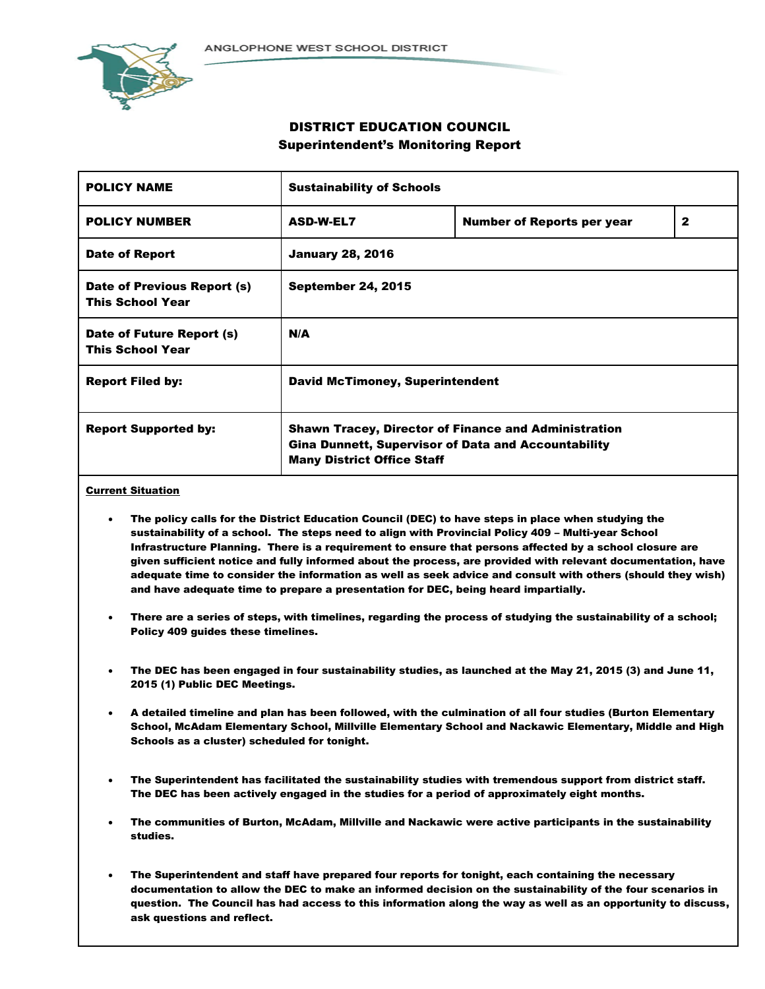

# DISTRICT EDUCATION COUNCIL Superintendent's Monitoring Report

| <b>POLICY NAME</b>                                     | <b>Sustainability of Schools</b>                                                                                                                               |                                   |              |  |  |
|--------------------------------------------------------|----------------------------------------------------------------------------------------------------------------------------------------------------------------|-----------------------------------|--------------|--|--|
| <b>POLICY NUMBER</b>                                   | <b>ASD-W-EL7</b>                                                                                                                                               | <b>Number of Reports per year</b> | $\mathbf{2}$ |  |  |
| <b>Date of Report</b>                                  | <b>January 28, 2016</b>                                                                                                                                        |                                   |              |  |  |
| Date of Previous Report (s)<br><b>This School Year</b> | <b>September 24, 2015</b>                                                                                                                                      |                                   |              |  |  |
| Date of Future Report (s)<br><b>This School Year</b>   | N/A                                                                                                                                                            |                                   |              |  |  |
| <b>Report Filed by:</b>                                | <b>David McTimoney, Superintendent</b>                                                                                                                         |                                   |              |  |  |
| <b>Report Supported by:</b>                            | <b>Shawn Tracey, Director of Finance and Administration</b><br><b>Gina Dunnett, Supervisor of Data and Accountability</b><br><b>Many District Office Staff</b> |                                   |              |  |  |

# Current Situation

- The policy calls for the District Education Council (DEC) to have steps in place when studying the sustainability of a school. The steps need to align with Provincial Policy 409 – Multi-year School Infrastructure Planning. There is a requirement to ensure that persons affected by a school closure are given sufficient notice and fully informed about the process, are provided with relevant documentation, have adequate time to consider the information as well as seek advice and consult with others (should they wish) and have adequate time to prepare a presentation for DEC, being heard impartially.
- There are a series of steps, with timelines, regarding the process of studying the sustainability of a school; Policy 409 guides these timelines.
- The DEC has been engaged in four sustainability studies, as launched at the May 21, 2015 (3) and June 11, 2015 (1) Public DEC Meetings.
- A detailed timeline and plan has been followed, with the culmination of all four studies (Burton Elementary School, McAdam Elementary School, Millville Elementary School and Nackawic Elementary, Middle and High Schools as a cluster) scheduled for tonight.
- The Superintendent has facilitated the sustainability studies with tremendous support from district staff. The DEC has been actively engaged in the studies for a period of approximately eight months.
- The communities of Burton, McAdam, Millville and Nackawic were active participants in the sustainability studies.
- The Superintendent and staff have prepared four reports for tonight, each containing the necessary documentation to allow the DEC to make an informed decision on the sustainability of the four scenarios in question. The Council has had access to this information along the way as well as an opportunity to discuss, ask questions and reflect.